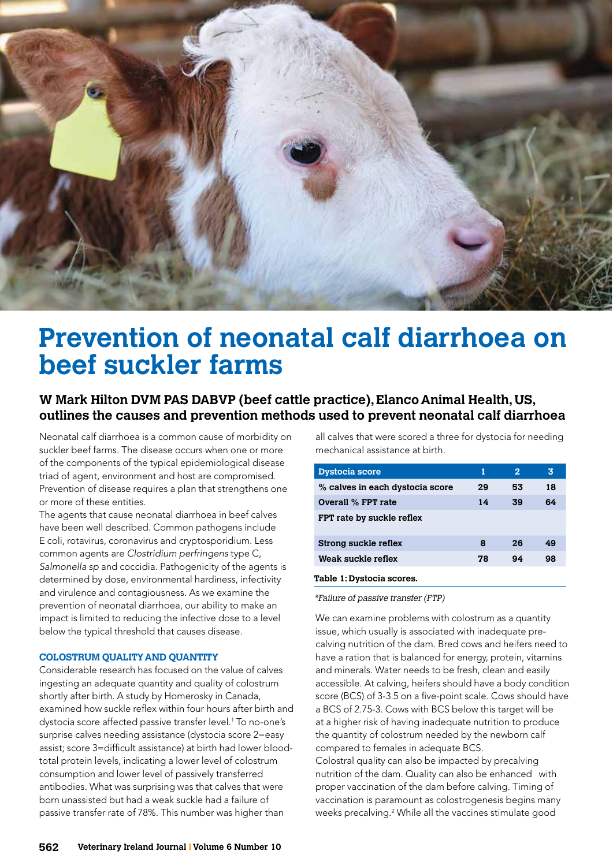

# **Prevention of neonatal calf diarrhoea on beef suckler farms**

# **W Mark Hilton DVM PAS DABVP (beef cattle practice), Elanco Animal Health, US, outlines the causes and prevention methods used to prevent neonatal calf diarrhoea**

Neonatal calf diarrhoea is a common cause of morbidity on suckler beef farms. The disease occurs when one or more of the components of the typical epidemiological disease triad of agent, environment and host are compromised. Prevention of disease requires a plan that strengthens one or more of these entities.

The agents that cause neonatal diarrhoea in beef calves have been well described. Common pathogens include E coli, rotavirus, coronavirus and cryptosporidium. Less common agents are *Clostridium perfringens* type C, *Salmonella sp* and coccidia. Pathogenicity of the agents is determined by dose, environmental hardiness, infectivity and virulence and contagiousness. As we examine the prevention of neonatal diarrhoea, our ability to make an impact is limited to reducing the infective dose to a level below the typical threshold that causes disease.

#### **COLOSTRUM QUALITY AND QUANTITY**

Considerable research has focused on the value of calves ingesting an adequate quantity and quality of colostrum shortly after birth. A study by Homerosky in Canada, examined how suckle reflex within four hours after birth and dystocia score affected passive transfer level.1 To no-one's surprise calves needing assistance (dystocia score 2=easy assist; score 3=difficult assistance) at birth had lower bloodtotal protein levels, indicating a lower level of colostrum consumption and lower level of passively transferred antibodies. What was surprising was that calves that were born unassisted but had a weak suckle had a failure of passive transfer rate of 78%. This number was higher than

all calves that were scored a three for dystocia for needing mechanical assistance at birth.

| <b>Dystocia score</b>           | 1  | $\overline{2}$ | 3  |  |
|---------------------------------|----|----------------|----|--|
| % calves in each dystocia score | 29 | 53             | 18 |  |
| <b>Overall % FPT rate</b>       | 14 | 39             | 64 |  |
| FPT rate by suckle reflex       |    |                |    |  |
| Strong suckle reflex            | 8  | 26             | 49 |  |
| Weak suckle reflex              | 78 | 94             | 98 |  |
|                                 |    |                |    |  |

## **Table 1: Dystocia scores.**

\*Failure of passive transfer (FTP)

We can examine problems with colostrum as a quantity issue, which usually is associated with inadequate precalving nutrition of the dam. Bred cows and heifers need to have a ration that is balanced for energy, protein, vitamins and minerals. Water needs to be fresh, clean and easily accessible. At calving, heifers should have a body condition score (BCS) of 3-3.5 on a five-point scale. Cows should have a BCS of 2.75-3. Cows with BCS below this target will be at a higher risk of having inadequate nutrition to produce the quantity of colostrum needed by the newborn calf compared to females in adequate BCS.

Colostral quality can also be impacted by precalving nutrition of the dam. Quality can also be enhanced with proper vaccination of the dam before calving. Timing of vaccination is paramount as colostrogenesis begins many weeks precalving.<sup>2</sup> While all the vaccines stimulate good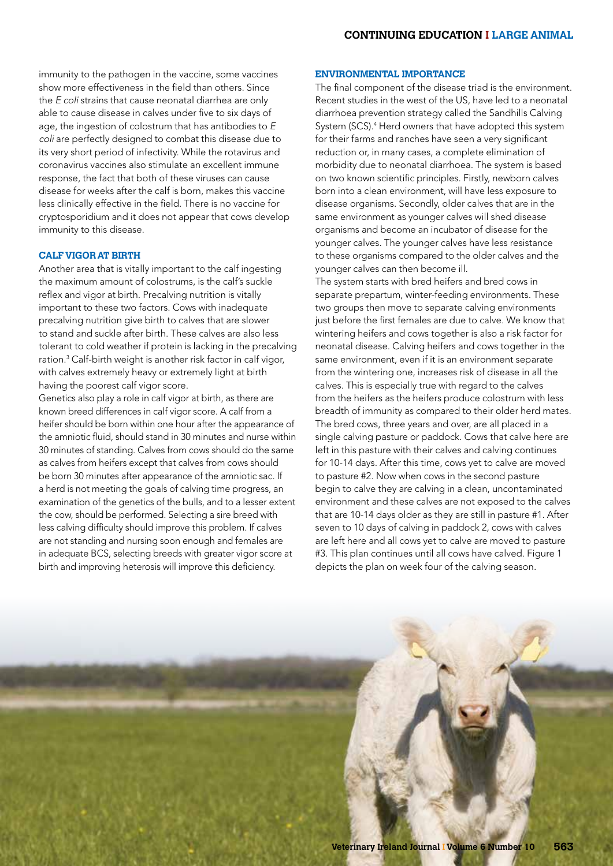immunity to the pathogen in the vaccine, some vaccines show more effectiveness in the field than others. Since the E coli strains that cause neonatal diarrhea are only able to cause disease in calves under five to six days of age, the ingestion of colostrum that has antibodies to E coli are perfectly designed to combat this disease due to its very short period of infectivity. While the rotavirus and coronavirus vaccines also stimulate an excellent immune response, the fact that both of these viruses can cause disease for weeks after the calf is born, makes this vaccine less clinically effective in the field. There is no vaccine for cryptosporidium and it does not appear that cows develop immunity to this disease.

### **CALF VIGOR AT BIRTH**

Another area that is vitally important to the calf ingesting the maximum amount of colostrums, is the calf's suckle reflex and vigor at birth. Precalving nutrition is vitally important to these two factors. Cows with inadequate precalving nutrition give birth to calves that are slower to stand and suckle after birth. These calves are also less tolerant to cold weather if protein is lacking in the precalving ration.3 Calf-birth weight is another risk factor in calf vigor, with calves extremely heavy or extremely light at birth having the poorest calf vigor score.

Genetics also play a role in calf vigor at birth, as there are known breed differences in calf vigor score. A calf from a heifer should be born within one hour after the appearance of the amniotic fluid, should stand in 30 minutes and nurse within 30 minutes of standing. Calves from cows should do the same as calves from heifers except that calves from cows should be born 30 minutes after appearance of the amniotic sac. If a herd is not meeting the goals of calving time progress, an examination of the genetics of the bulls, and to a lesser extent the cow, should be performed. Selecting a sire breed with less calving difficulty should improve this problem. If calves are not standing and nursing soon enough and females are in adequate BCS, selecting breeds with greater vigor score at birth and improving heterosis will improve this deficiency.

### **ENVIRONMENTAL IMPORTANCE**

The final component of the disease triad is the environment. Recent studies in the west of the US, have led to a neonatal diarrhoea prevention strategy called the Sandhills Calving System (SCS).4 Herd owners that have adopted this system for their farms and ranches have seen a very significant reduction or, in many cases, a complete elimination of morbidity due to neonatal diarrhoea. The system is based on two known scientific principles. Firstly, newborn calves born into a clean environment, will have less exposure to disease organisms. Secondly, older calves that are in the same environment as younger calves will shed disease organisms and become an incubator of disease for the younger calves. The younger calves have less resistance to these organisms compared to the older calves and the younger calves can then become ill.

The system starts with bred heifers and bred cows in separate prepartum, winter-feeding environments. These two groups then move to separate calving environments just before the first females are due to calve. We know that wintering heifers and cows together is also a risk factor for neonatal disease. Calving heifers and cows together in the same environment, even if it is an environment separate from the wintering one, increases risk of disease in all the calves. This is especially true with regard to the calves from the heifers as the heifers produce colostrum with less breadth of immunity as compared to their older herd mates. The bred cows, three years and over, are all placed in a single calving pasture or paddock. Cows that calve here are left in this pasture with their calves and calving continues for 10-14 days. After this time, cows yet to calve are moved to pasture #2. Now when cows in the second pasture begin to calve they are calving in a clean, uncontaminated environment and these calves are not exposed to the calves that are 10-14 days older as they are still in pasture #1. After seven to 10 days of calving in paddock 2, cows with calves are left here and all cows yet to calve are moved to pasture #3. This plan continues until all cows have calved. Figure 1 depicts the plan on week four of the calving season.